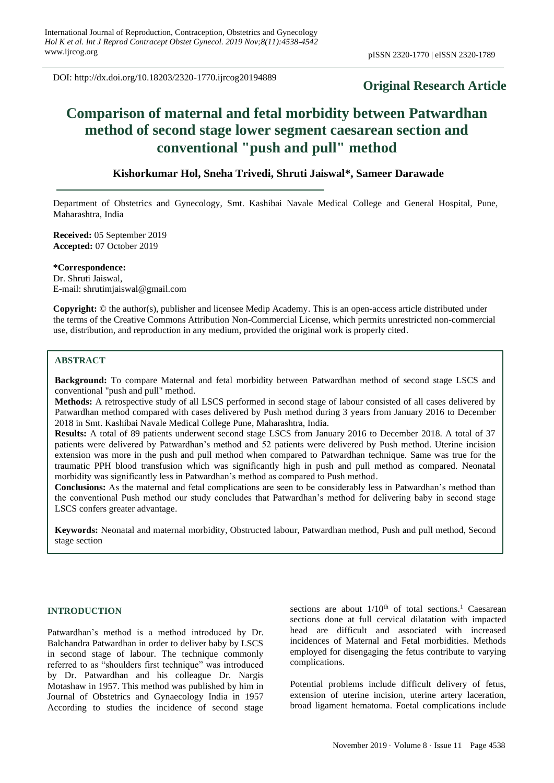DOI: http://dx.doi.org/10.18203/2320-1770.ijrcog20194889

# **Original Research Article**

# **Comparison of maternal and fetal morbidity between Patwardhan method of second stage lower segment caesarean section and conventional "push and pull" method**

# **Kishorkumar Hol, Sneha Trivedi, Shruti Jaiswal\*, Sameer Darawade**

Department of Obstetrics and Gynecology, Smt. Kashibai Navale Medical College and General Hospital, Pune, Maharashtra, India

**Received:** 05 September 2019 **Accepted:** 07 October 2019

**\*Correspondence:** Dr. Shruti Jaiswal, E-mail: shrutimjaiswal@gmail.com

**Copyright:** © the author(s), publisher and licensee Medip Academy. This is an open-access article distributed under the terms of the Creative Commons Attribution Non-Commercial License, which permits unrestricted non-commercial use, distribution, and reproduction in any medium, provided the original work is properly cited.

# **ABSTRACT**

**Background:** To compare Maternal and fetal morbidity between Patwardhan method of second stage LSCS and conventional "push and pull" method.

**Methods:** A retrospective study of all LSCS performed in second stage of labour consisted of all cases delivered by Patwardhan method compared with cases delivered by Push method during 3 years from January 2016 to December 2018 in Smt. Kashibai Navale Medical College Pune, Maharashtra, India.

**Results:** A total of 89 patients underwent second stage LSCS from January 2016 to December 2018. A total of 37 patients were delivered by Patwardhan's method and 52 patients were delivered by Push method. Uterine incision extension was more in the push and pull method when compared to Patwardhan technique. Same was true for the traumatic PPH blood transfusion which was significantly high in push and pull method as compared. Neonatal morbidity was significantly less in Patwardhan's method as compared to Push method.

**Conclusions:** As the maternal and fetal complications are seen to be considerably less in Patwardhan's method than the conventional Push method our study concludes that Patwardhan's method for delivering baby in second stage LSCS confers greater advantage.

**Keywords:** Neonatal and maternal morbidity, Obstructed labour, Patwardhan method, Push and pull method, Second stage section

#### **INTRODUCTION**

Patwardhan's method is a method introduced by Dr. Balchandra Patwardhan in order to deliver baby by LSCS in second stage of labour. The technique commonly referred to as "shoulders first technique" was introduced by Dr. Patwardhan and his colleague Dr. Nargis Motashaw in 1957. This method was published by him in Journal of Obstetrics and Gynaecology India in 1957 According to studies the incidence of second stage sections are about  $1/10^{th}$  of total sections.<sup>1</sup> Caesarean sections done at full cervical dilatation with impacted head are difficult and associated with increased incidences of Maternal and Fetal morbidities. Methods employed for disengaging the fetus contribute to varying complications.

Potential problems include difficult delivery of fetus, extension of uterine incision, uterine artery laceration, broad ligament hematoma. Foetal complications include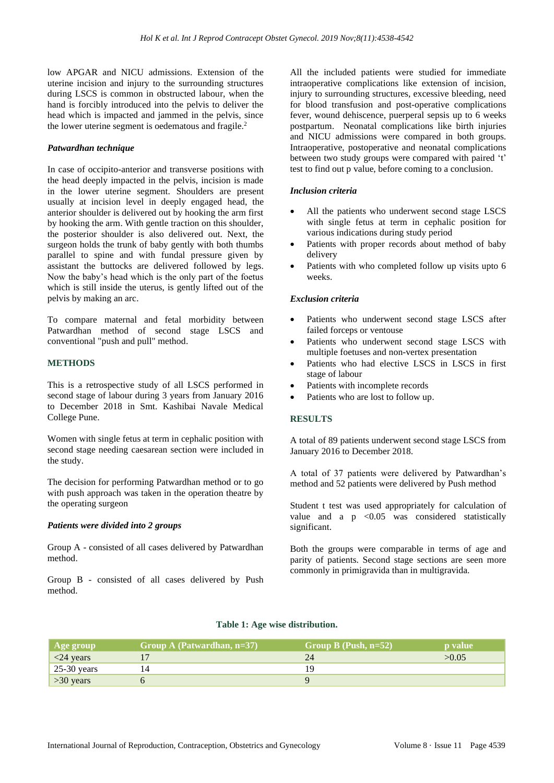low APGAR and NICU admissions. Extension of the uterine incision and injury to the surrounding structures during LSCS is common in obstructed labour, when the hand is forcibly introduced into the pelvis to deliver the head which is impacted and jammed in the pelvis, since the lower uterine segment is oedematous and fragile. 2

#### *Patwardhan technique*

In case of occipito-anterior and transverse positions with the head deeply impacted in the pelvis, incision is made in the lower uterine segment. Shoulders are present usually at incision level in deeply engaged head, the anterior shoulder is delivered out by hooking the arm first by hooking the arm. With gentle traction on this shoulder, the posterior shoulder is also delivered out. Next, the surgeon holds the trunk of baby gently with both thumbs parallel to spine and with fundal pressure given by assistant the buttocks are delivered followed by legs. Now the baby's head which is the only part of the foetus which is still inside the uterus, is gently lifted out of the pelvis by making an arc.

To compare maternal and fetal morbidity between Patwardhan method of second stage LSCS and conventional "push and pull" method.

#### **METHODS**

This is a retrospective study of all LSCS performed in second stage of labour during 3 years from January 2016 to December 2018 in Smt. Kashibai Navale Medical College Pune.

Women with single fetus at term in cephalic position with second stage needing caesarean section were included in the study.

The decision for performing Patwardhan method or to go with push approach was taken in the operation theatre by the operating surgeon

#### *Patients were divided into 2 groups*

Group A - consisted of all cases delivered by Patwardhan method.

Group B - consisted of all cases delivered by Push method.

All the included patients were studied for immediate intraoperative complications like extension of incision, injury to surrounding structures, excessive bleeding, need for blood transfusion and post-operative complications fever, wound dehiscence, puerperal sepsis up to 6 weeks postpartum. Neonatal complications like birth injuries and NICU admissions were compared in both groups. Intraoperative, postoperative and neonatal complications between two study groups were compared with paired 't' test to find out p value, before coming to a conclusion.

## *Inclusion criteria*

- All the patients who underwent second stage LSCS with single fetus at term in cephalic position for various indications during study period
- Patients with proper records about method of baby delivery
- Patients with who completed follow up visits upto 6 weeks.

#### *Exclusion criteria*

- Patients who underwent second stage LSCS after failed forceps or ventouse
- Patients who underwent second stage LSCS with multiple foetuses and non-vertex presentation
- Patients who had elective LSCS in LSCS in first stage of labour
- Patients with incomplete records
- Patients who are lost to follow up.

## **RESULTS**

A total of 89 patients underwent second stage LSCS from January 2016 to December 2018.

A total of 37 patients were delivered by Patwardhan's method and 52 patients were delivered by Push method

Student t test was used appropriately for calculation of value and a  $p \leq 0.05$  was considered statistically significant.

Both the groups were comparable in terms of age and parity of patients. Second stage sections are seen more commonly in primigravida than in multigravida.

| Age group     | Group A (Patwardhan, $n=37$ ) | Group B (Push, $n=52$ ) | <b>p</b> value |
|---------------|-------------------------------|-------------------------|----------------|
| $<$ 24 years  |                               | 24                      | >0.05          |
| $25-30$ years |                               |                         |                |
| $>30$ years   |                               |                         |                |

# **Table 1: Age wise distribution.**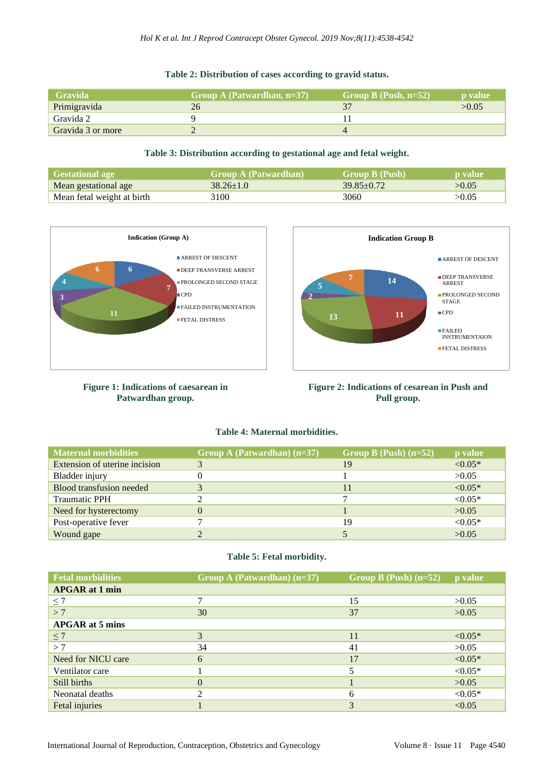# **Table 2: Distribution of cases according to gravid status.**

| <b>Gravida</b>    | Group A (Patwardhan, $n=37$ ) | Group B (Push, $n=52$ ) | <b>b</b> value |
|-------------------|-------------------------------|-------------------------|----------------|
| Primigravida      | 26                            |                         | >0.05          |
| Gravida 2         |                               |                         |                |
| Gravida 3 or more |                               |                         |                |

## **Table 3: Distribution according to gestational age and fetal weight.**

| <b>Gestational age</b>     | <b>Group A (Patwardhan)</b> | <b>Group B</b> (Push) | <b>p</b> value |
|----------------------------|-----------------------------|-----------------------|----------------|
| Mean gestational age       | $38.26 \pm 1.0$             | $39.85 \pm 0.72$      | >0.05          |
| Mean fetal weight at birth | 3100                        | 3060                  | >0.05          |



**Figure 1: Indications of caesarean in Patwardhan group.**



**Figure 2: Indications of cesarean in Push and Pull group.**

## **Table 4: Maternal morbidities.**

| <b>Maternal morbidities</b>     | Group A (Patwardhan) $(n=37)$ | Group B (Push) $(n=52)$ | p value   |
|---------------------------------|-------------------------------|-------------------------|-----------|
| Extension of uterine incision   |                               | 19                      | $< 0.05*$ |
| Bladder injury                  |                               |                         | >0.05     |
| <b>Blood transfusion needed</b> | 3                             |                         | $< 0.05*$ |
| <b>Traumatic PPH</b>            |                               |                         | $< 0.05*$ |
| Need for hysterectomy           | 0                             |                         | >0.05     |
| Post-operative fever            |                               | 19                      | $< 0.05*$ |
| Wound gape                      |                               |                         | >0.05     |

# **Table 5: Fetal morbidity.**

| <b>Fetal morbidities</b> | Group A (Patwardhan) $(n=37)$ | Group B (Push) $(n=52)$ | p value   |
|--------------------------|-------------------------------|-------------------------|-----------|
| <b>APGAR</b> at 1 min    |                               |                         |           |
| $\leq 7$                 | 7                             | 15                      | >0.05     |
| >7                       | 30                            | 37                      | >0.05     |
| <b>APGAR</b> at 5 mins   |                               |                         |           |
| $\leq 7$                 | 3                             | 11                      | $< 0.05*$ |
| >7                       | 34                            | 41                      | >0.05     |
| Need for NICU care       | 6                             | 17                      | $< 0.05*$ |
| Ventilator care          |                               |                         | $< 0.05*$ |
| Still births             | $\theta$                      |                         | >0.05     |
| Neonatal deaths          | ∍                             | 6                       | $< 0.05*$ |
| Fetal injuries           |                               | 3                       | < 0.05    |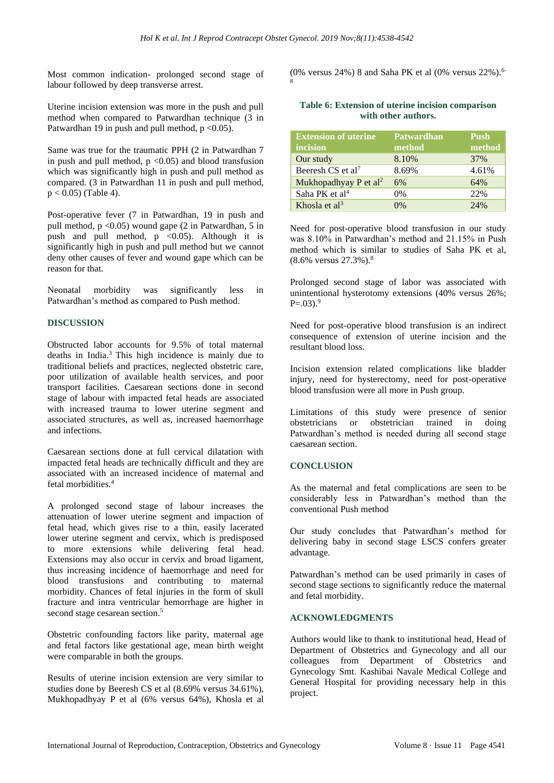Most common indication- prolonged second stage of labour followed by deep transverse arrest.

Uterine incision extension was more in the push and pull method when compared to Patwardhan technique (3 in Patwardhan 19 in push and pull method,  $p \le 0.05$ .

Same was true for the traumatic PPH (2 in Patwardhan 7 in push and pull method,  $p \le 0.05$  and blood transfusion which was significantly high in push and pull method as compared. (3 in Patwardhan 11 in push and pull method,  $p < 0.05$ ) (Table 4).

Post-operative fever (7 in Patwardhan, 19 in push and pull method,  $p \le 0.05$ ) wound gape (2 in Patwardhan, 5 in push and pull method,  $p \leq 0.05$ ). Although it is significantly high in push and pull method but we cannot deny other causes of fever and wound gape which can be reason for that.

Neonatal morbidity was significantly less in Patwardhan's method as compared to Push method.

# **DISCUSSION**

Obstructed labor accounts for 9.5% of total maternal deaths in India.<sup>3</sup> This high incidence is mainly due to traditional beliefs and practices, neglected obstetric care, poor utilization of available health services, and poor transport facilities. Caesarean sections done in second stage of labour with impacted fetal heads are associated with increased trauma to lower uterine segment and associated structures, as well as, increased haemorrhage and infections.

Caesarean sections done at full cervical dilatation with impacted fetal heads are technically difficult and they are associated with an increased incidence of maternal and fetal morbidities<sup>4</sup>

A prolonged second stage of labour increases the attenuation of lower uterine segment and impaction of fetal head, which gives rise to a thin, easily lacerated lower uterine segment and cervix, which is predisposed to more extensions while delivering fetal head. Extensions may also occur in cervix and broad ligament, thus increasing incidence of haemorrhage and need for blood transfusions and contributing to maternal morbidity. Chances of fetal injuries in the form of skull fracture and intra ventricular hemorrhage are higher in second stage cesarean section.<sup>5</sup>

Obstetric confounding factors like parity, maternal age and fetal factors like gestational age, mean birth weight were comparable in both the groups.

Results of uterine incision extension are very similar to studies done by Beeresh CS et al (8.69% versus 34.61%), Mukhopadhyay P et al (6% versus 64%), Khosla et al (0% versus 24%) 8 and Saha PK et al (0% versus 22%).<sup>6-</sup> 8

#### **Table 6: Extension of uterine incision comparison with other authors.**

| <b>Extension of uterine</b>       | <b>Patwardhan</b> | <b>Push</b> |
|-----------------------------------|-------------------|-------------|
| incision                          | method            | method      |
| Our study                         | 8.10%             | 37%         |
| Beeresh CS et al <sup>7</sup>     | 8.69%             | 4.61%       |
| Mukhopadhyay P et al <sup>2</sup> | 6%                | 64%         |
| Saha PK et al <sup>4</sup>        | $0\%$             | 22%         |
| Khosla et $al3$                   | በ%                | 74%         |

Need for post-operative blood transfusion in our study was 8.10% in Patwardhan's method and 21.15% in Push method which is similar to studies of Saha PK et al, (8.6% versus 27.3%).<sup>8</sup>

Prolonged second stage of labor was associated with unintentional hysterotomy extensions (40% versus 26%;  $P=.03).<sup>9</sup>$ 

Need for post-operative blood transfusion is an indirect consequence of extension of uterine incision and the resultant blood loss.

Incision extension related complications like bladder injury, need for hysterectomy, need for post-operative blood transfusion were all more in Push group.

Limitations of this study were presence of senior obstetricians or obstetrician trained in doing Patwardhan's method is needed during all second stage caesarean section.

# **CONCLUSION**

As the maternal and fetal complications are seen to be considerably less in Patwardhan's method than the conventional Push method

Our study concludes that Patwardhan's method for delivering baby in second stage LSCS confers greater advantage.

Patwardhan's method can be used primarily in cases of second stage sections to significantly reduce the maternal and fetal morbidity.

# **ACKNOWLEDGMENTS**

Authors would like to thank to institutional head, Head of Department of Obstetrics and Gynecology and all our colleagues from Department of Obstetrics and Gynecology Smt. Kashibai Navale Medical College and General Hospital for providing necessary help in this project.